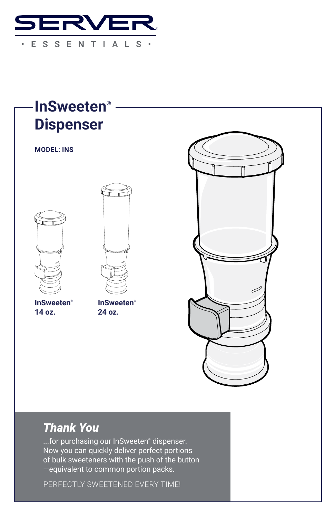



## *Thank You*

...for purchasing our InSweeten® dispenser. Now you can quickly deliver perfect portions of bulk sweeteners with the push of the button —equivalent to common portion packs.

PERFECTLY SWEETENED EVERY TIME!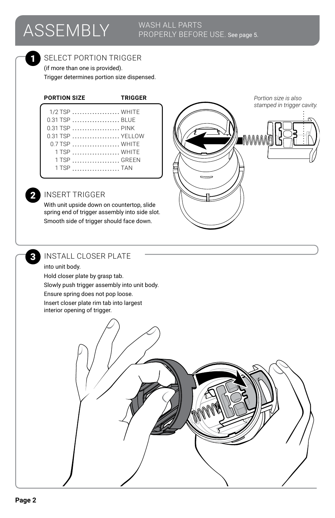# ASSEMBLY WASH ALL PARTS

## PROPERLY BEFORE USE. See page 5.

#### SELECT PORTION TRIGGER

(if more than one is provided). Trigger determines portion size dispensed.

#### **PORTION SIZE TRIGGER**

| $1/2$ TSP $\dots\dots\dots\dots\dots\dots$       |
|--------------------------------------------------|
| 0.31 TSP BLUE                                    |
| 0.31 TSP  PINK                                   |
| 0.31 TSP  YELLOW                                 |
| $0.7$ TSP $\ldots$ , $\ldots$ , $\ldots$ , WHITF |
| 1 TSP  WHITF                                     |
| 1 TSP  GREEN                                     |
| 1 TSP TAN                                        |
|                                                  |

# *stamped in trigger cavity.* ■MWWW

*Portion size is also* 

#### 2 INSERT TRIGGER

With unit upside down on countertop, slide spring end of trigger assembly into side slot. Smooth side of trigger should face down.



#### 3 INSTALL CLOSER PLATE

#### into unit body.

Hold closer plate by grasp tab.

Slowly push trigger assembly into unit body.

Ensure spring does not pop loose.

Insert closer plate rim tab into largest interior opening of trigger.

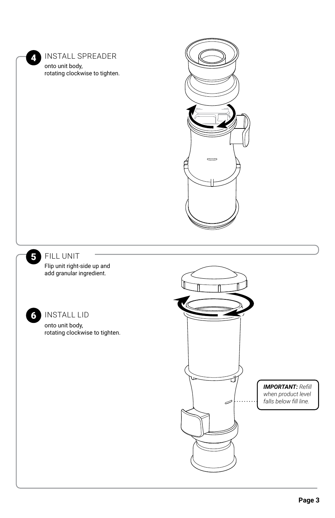4 INSTALL SPREADER onto unit body,

rotating clockwise to tighten.





#### 5 FILL UNIT

Flip unit right-side up and add granular ingredient.



#### 6 INSTALL LID

onto unit body, rotating clockwise to tighten.

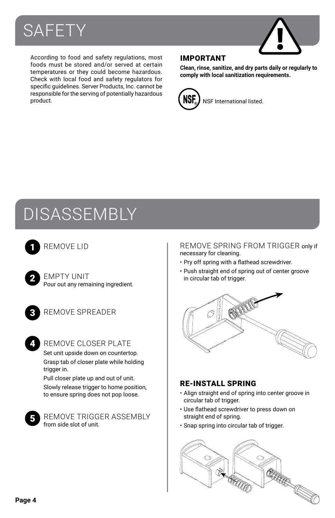



According to food and safety regulations, most foods must be stored and/or served at certain temperatures or they could become hazardous. Check with local food and safety regulators for specific guidelines. Server Products, Inc. cannot be responsible for the serving of potentially hazardous product.

#### IMPORTANT

**Clean, rinse, sanitize, and dry parts daily or regularly to comply with local sanitization requirements.**



## DISASSEMBLY



2

- EMPTY UNIT Pour out any remaining ingredient.
- 

4

- REMOVE SPREADER
- REMOVE CLOSER PLATE

Set unit upside down on countertop. Grasp tab of closer plate while holding trigger in.

Pull closer plate up and out of unit. Slowly release trigger to home position, to ensure spring does not pop loose.



REMOVE TRIGGER ASSEMBLY from side slot of unit.

#### REMOVE LID **1 REMOVE SPRING FROM TRIGGER** only if necessary for cleaning.

- Pry off spring with a flathead screwdriver.
- Push straight end of spring out of center groove in circular tab of trigger.



#### RE-INSTALL SPRING

- Align straight end of spring into center groove in circular tab of trigger.
- Use flathead screwdriver to press down on straight end of spring.
- Snap spring into circular tab of trigger.

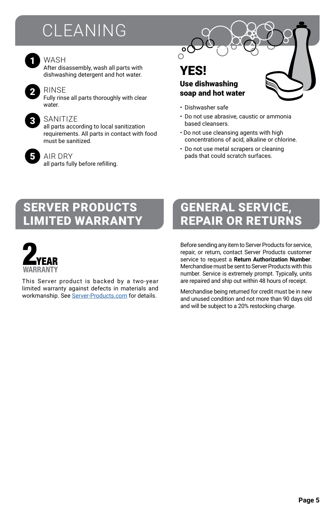# **CLEANING**



#### WASH

After disassembly, wash all parts with dishwashing detergent and hot water.



#### RINSE

Fully rinse all parts thoroughly with clear water



#### SANITIZE

all parts according to local sanitization requirements. All parts in contact with food must be sanitized.



AIR DRY

all parts fully before refilling.

## YES!

o(  $\bigcap$ 

#### Use dishwashing soap and hot water

- Dishwasher safe
- Do not use abrasive, caustic or ammonia based cleansers.
- Do not use cleansing agents with high concentrations of acid, alkaline or chlorine.
- Do not use metal scrapers or cleaning pads that could scratch surfaces.

## SERVER PRODUCTS LIMITED WARRANTY



This Server product is backed by a two-year limited warranty against defects in materials and workmanship. See Server-Products.com for details.

## GENERAL SERVICE, REPAIR OR RETURNS

Before sending any item to Server Products for service, repair, or return, contact Server Products customer service to request a **Return Authorization Number**. Merchandise must be sent to Server Products with this number. Service is extremely prompt. Typically, units are repaired and ship out within 48 hours of receipt.

Merchandise being returned for credit must be in new and unused condition and not more than 90 days old and will be subject to a 20% restocking charge.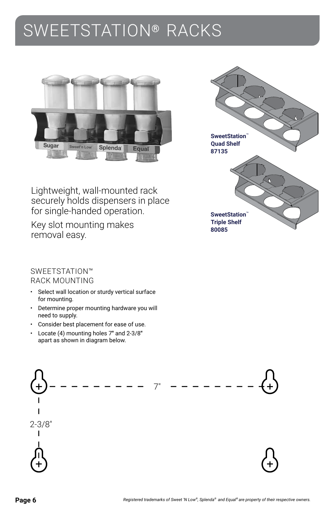## SWEETSTATION® RACKS





Lightweight, wall-mounted rack securely holds dispensers in place for single-handed operation.

Key slot mounting makes removal easy.

#### SWEETSTATION™ RACK MOUNTING

- Select wall location or sturdy vertical surface for mounting.
- Determine proper mounting hardware you will need to supply.
- Consider best placement for ease of use.
- Locate (4) mounting holes 7**"** and 2-3/8**"**  apart as shown in diagram below.

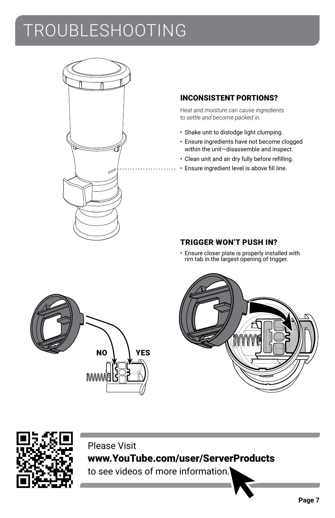# TROUBLESHOOTING



#### INCONSISTENT PORTIONS?

*Heat and moisture can cause ingredients to settle and become packed in.*

- Shake unit to dislodge light clumping.
- Ensure ingredients have not become clogged within the unit—disassemble and inspect.
- Clean unit and air dry fully before refilling.
- Ensure ingredient level is above fill line.

#### TRIGGER WON'T PUSH IN?

• Ensure closer plate is properly installed with rim tab in the largest opening of trigger.







### Please Visit www.YouTube.com/user/ServerProducts

to see videos of more information.